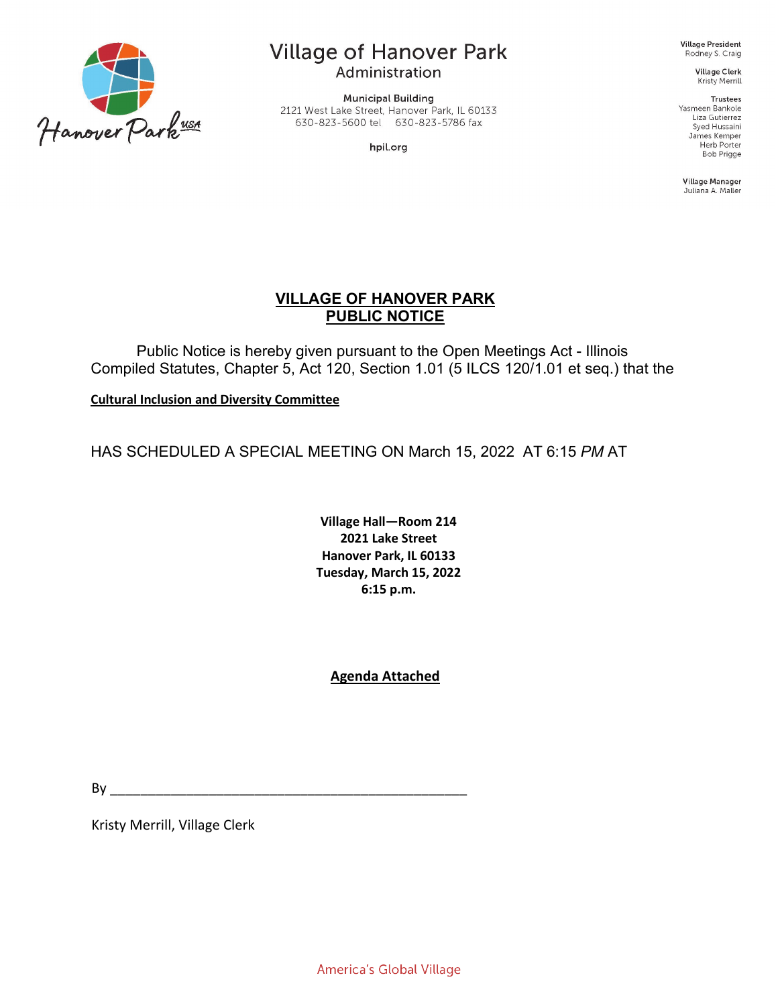

# **Village of Hanover Park**

Administration

**Municipal Building** 2121 West Lake Street, Hanover Park, IL 60133 630-823-5600 tel 630-823-5786 fax

hpil.org

Village President Rodney S. Craig

> **Village Clerk** Kristy Merrill

Trustees Yasmeen Bankole Liza Gutierrez Syed Hussaini James Kemper Herb Porter **Bob Prigge** 

Village Manager Juliana A. Maller

# **VILLAGE OF HANOVER PARK PUBLIC NOTICE**

Public Notice is hereby given pursuant to the Open Meetings Act - Illinois Compiled Statutes, Chapter 5, Act 120, Section 1.01 (5 ILCS 120/1.01 et seq.) that the

**Cultural Inclusion and Diversity Committee**

HAS SCHEDULED A SPECIAL MEETING ON March 15, 2022 AT 6:15 *PM* AT

**Village Hall—Room 214 2021 Lake Street Hanover Park, IL 60133 Tuesday, March 15, 2022 6:15 p.m.**

# **Agenda Attached**

By \_\_\_\_\_\_\_\_\_\_\_\_\_\_\_\_\_\_\_\_\_\_\_\_\_\_\_\_\_\_\_\_\_\_\_\_\_\_\_\_\_\_\_\_\_\_\_

Kristy Merrill, Village Clerk